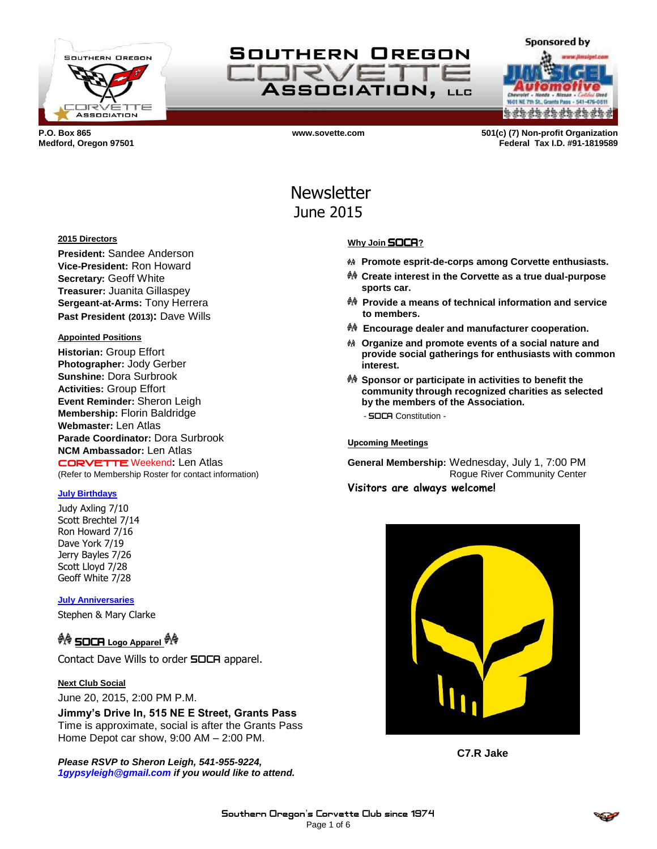

SOUTHERN OREGON **IFRVF** ASSOCIATION, LLC

**a da da da da da da da** 

**Sponsored by** 

**P.O. Box 865 www.sovette.com 501(c) (7) Non-profit Organization Medford, Oregon 97501 Federal Tax I.D. #91-1819589**

# **Newsletter** June 2015

#### **2015 Directors**

**President:** Sandee Anderson **Vice-President:** Ron Howard **Secretary:** Geoff White **Treasurer:** Juanita Gillaspey **Sergeant-at-Arms:** Tony Herrera **Past President (2013):** Dave Wills

#### **Appointed Positions**

**Historian:** Group Effort **Photographer:** Jody Gerber **Sunshine:** Dora Surbrook **Activities:** Group Effort **Event Reminder:** Sheron Leigh **Membership:** Florin Baldridge **Webmaster:** Len Atlas **Parade Coordinator:** Dora Surbrook **NCM Ambassador:** Len Atlas CORVETTE Weekend**:** Len Atlas (Refer to Membership Roster for contact information)

#### **July Birthdays**

Judy Axling 7/10 Scott Brechtel 7/14 Ron Howard 7/16 Dave York 7/19 Jerry Bayles 7/26 Scott Lloyd 7/28 Geoff White 7/28

**July Anniversaries**

Stephen & Mary Clarke

## **<sup>∯</sup> SOCA** Logo Apparel <sup>∯</sup>

Contact Dave Wills to order **SOCA** apparel.

#### **Next Club Social**

June 20, 2015, 2:00 PM P.M.

**Jimmy's Drive In, 515 NE E Street, Grants Pass** Time is approximate, social is after the Grants Pass Home Depot car show, 9:00 AM – 2:00 PM.

*Please RSVP to Sheron Leigh, 541-955-9224, 1gypsyleigh@gmail.com if you would like to attend.*

#### **Why Join** SOCA**?**

- **Promote esprit-de-corps among Corvette enthusiasts.**
- **Create interest in the Corvette as a true dual-purpose sports car.**
- **Provide a means of technical information and service to members.**
- **Encourage dealer and manufacturer cooperation.**
- **Organize and promote events of a social nature and provide social gatherings for enthusiasts with common interest.**
- **Sponsor or participate in activities to benefit the community through recognized charities as selected by the members of the Association.** - SOCA Constitution -

**Upcoming Meetings**

**General Membership:** Wednesday, July 1, 7:00 PM Rogue River Community Center **Visitors are always welcome!**



**C7.R Jake**

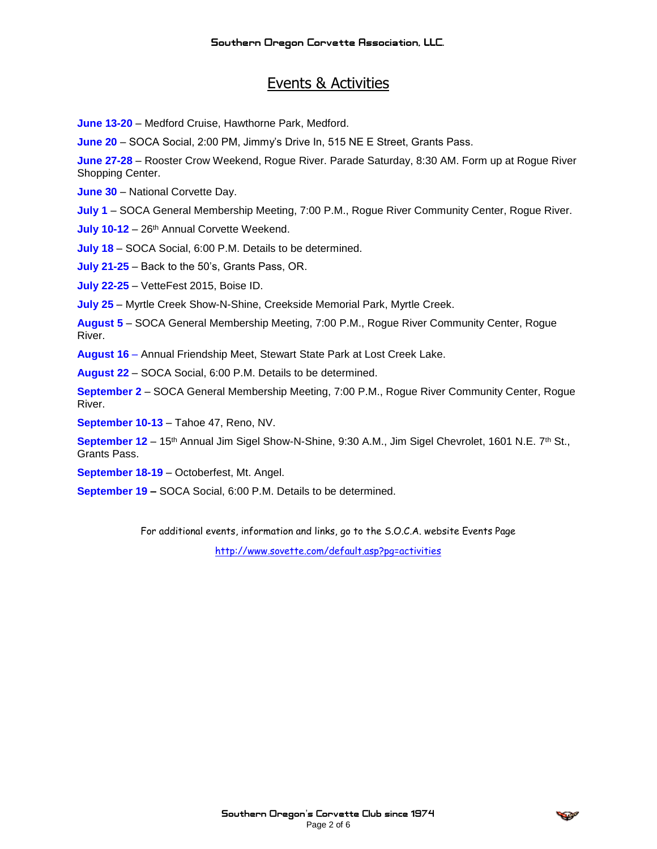# Events & Activities

**June 13-20** – Medford Cruise, Hawthorne Park, Medford.

**June 20** – SOCA Social, 2:00 PM, Jimmy's Drive In, 515 NE E Street, Grants Pass.

**June 27-28** – Rooster Crow Weekend, Rogue River. Parade Saturday, 8:30 AM. Form up at Rogue River Shopping Center.

**June 30** – National Corvette Day.

**July 1** – SOCA General Membership Meeting, 7:00 P.M., Rogue River Community Center, Rogue River.

July 10-12 - 26<sup>th</sup> Annual Corvette Weekend.

**July 18** – SOCA Social, 6:00 P.M. Details to be determined.

**July 21-25** – Back to the 50's, Grants Pass, OR.

**July 22-25** – VetteFest 2015, Boise ID.

**July 25** – Myrtle Creek Show-N-Shine, Creekside Memorial Park, Myrtle Creek.

**August 5** – SOCA General Membership Meeting, 7:00 P.M., Rogue River Community Center, Rogue River.

**August 16** – Annual Friendship Meet, Stewart State Park at Lost Creek Lake.

**August 22** – SOCA Social, 6:00 P.M. Details to be determined.

**September 2** – SOCA General Membership Meeting, 7:00 P.M., Rogue River Community Center, Rogue River.

**September 10-13** – Tahoe 47, Reno, NV.

September 12 - 15<sup>th</sup> Annual Jim Sigel Show-N-Shine, 9:30 A.M., Jim Sigel Chevrolet, 1601 N.E. 7<sup>th</sup> St., Grants Pass.

**September 18-19** – Octoberfest, Mt. Angel.

**September 19 –** SOCA Social, 6:00 P.M. Details to be determined.

For additional events, information and links, go to the S.O.C.A. website Events Page

<http://www.sovette.com/default.asp?pg=activities>

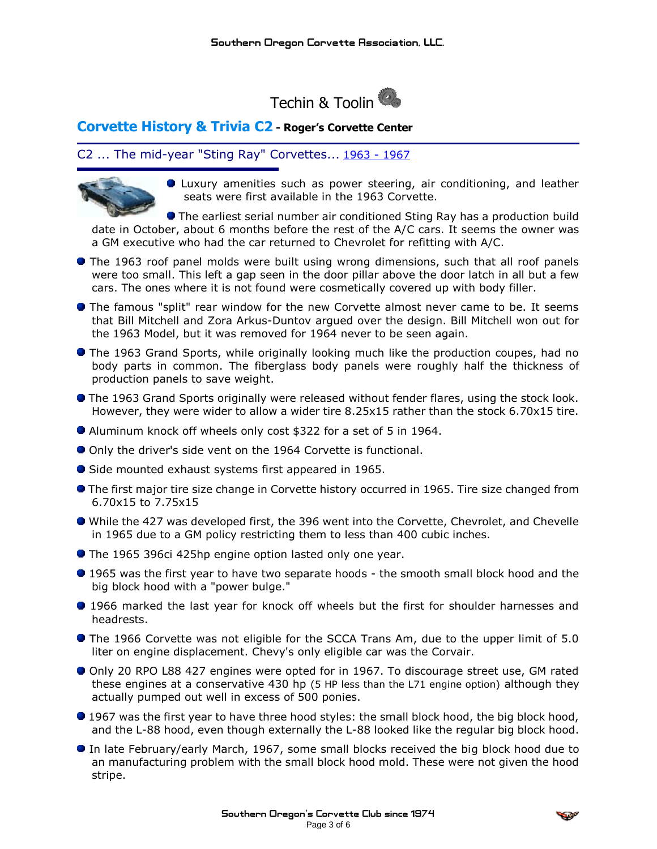

### **Corvette History & Trivia C2 - Roger's Corvette Center**

### C2 ... The mid-year "Sting Ray" Corvettes... [1963](http://www.rogerscorvette.com/specs/63.htm) - [1967](http://www.rogerscorvette.com/specs/67.htm)



Luxury amenities such as power steering, air conditioning, and leather seats were first available in the 1963 Corvette.

**The earliest serial number air conditioned Sting Ray has a production build** date in October, about 6 months before the rest of the A/C cars. It seems the owner was a GM executive who had the car returned to Chevrolet for refitting with A/C.

- **The 1963 roof panel molds were built using wrong dimensions, such that all roof panels** were too small. This left a gap seen in the door pillar above the door latch in all but a few cars. The ones where it is not found were cosmetically covered up with body filler.
- The famous "split" rear window for the new Corvette almost never came to be. It seems that Bill Mitchell and Zora Arkus-Duntov argued over the design. Bill Mitchell won out for the 1963 Model, but it was removed for 1964 never to be seen again.
- **The 1963 Grand Sports, while originally looking much like the production coupes, had no** body parts in common. The fiberglass body panels were roughly half the thickness of production panels to save weight.
- **The 1963 Grand Sports originally were released without fender flares, using the stock look.** However, they were wider to allow a wider tire 8.25x15 rather than the stock 6.70x15 tire.
- Aluminum knock off wheels only cost \$322 for a set of 5 in 1964.
- Only the driver's side vent on the 1964 Corvette is functional.
- Side mounted exhaust systems first appeared in 1965.
- **The first major tire size change in Corvette history occurred in 1965. Tire size changed from** 6.70x15 to 7.75x15
- While the 427 was developed first, the 396 went into the Corvette, Chevrolet, and Chevelle in 1965 due to a GM policy restricting them to less than 400 cubic inches.
- **The 1965 396ci 425hp engine option lasted only one year.**
- 1965 was the first year to have two separate hoods the smooth small block hood and the big block hood with a "power bulge."
- 1966 marked the last year for knock off wheels but the first for shoulder harnesses and headrests.
- **The 1966 Corvette was not eligible for the SCCA Trans Am, due to the upper limit of 5.0** liter on engine displacement. Chevy's only eligible car was the Corvair.
- Only 20 RPO L88 427 engines were opted for in 1967. To discourage street use, GM rated these engines at a conservative 430 hp (5 HP less than the L71 engine option) although they actually pumped out well in excess of 500 ponies.
- **1967** was the first year to have three hood styles: the small block hood, the big block hood, and the L-88 hood, even though externally the L-88 looked like the regular big block hood.
- In late February/early March, 1967, some small blocks received the big block hood due to an manufacturing problem with the small block hood mold. These were not given the hood stripe.